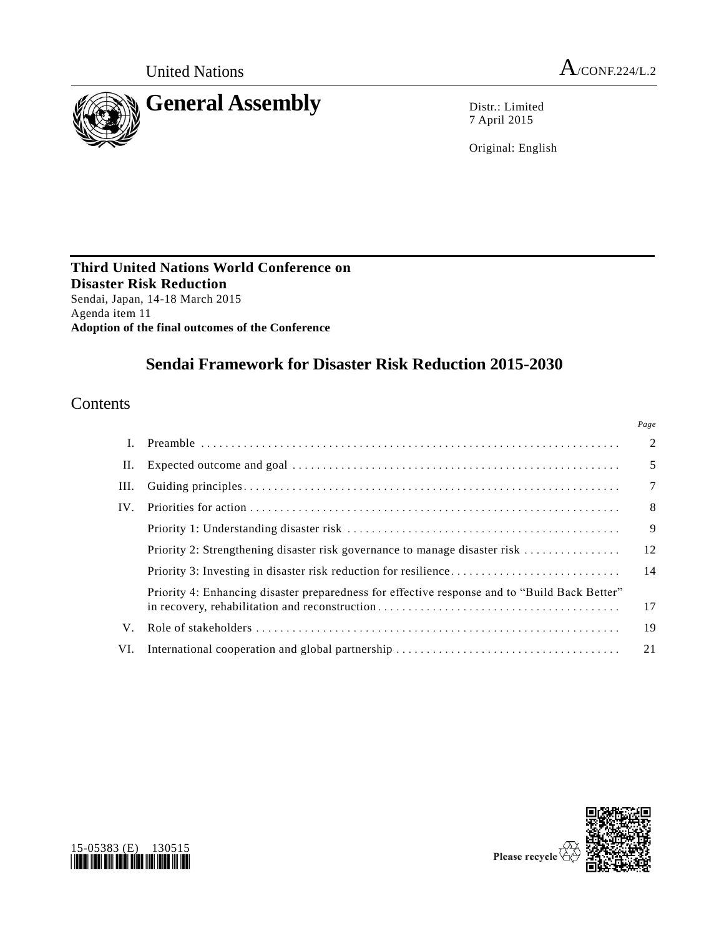

7 April 2015

Original: English

## **Third United Nations World Conference on Disaster Risk Reduction** Sendai, Japan, 14-18 March 2015 Agenda item 11 **Adoption of the final outcomes of the Conference**

# **Sendai Framework for Disaster Risk Reduction 2015-2030**

# **Contents**

|                |                                                                                               | Page           |
|----------------|-----------------------------------------------------------------------------------------------|----------------|
| $\mathbf{I}$ . | $Preamble                                    $                                                | $\overline{2}$ |
| Н.             |                                                                                               | 5              |
| III.           |                                                                                               | $\overline{7}$ |
| IV.            |                                                                                               | 8              |
|                |                                                                                               | 9              |
|                | Priority 2: Strengthening disaster risk governance to manage disaster risk                    | 12             |
|                |                                                                                               | 14             |
|                | Priority 4: Enhancing disaster preparedness for effective response and to "Build Back Better" | 17             |
| V.             |                                                                                               | 19             |
| VI.            |                                                                                               | 21             |
|                |                                                                                               |                |



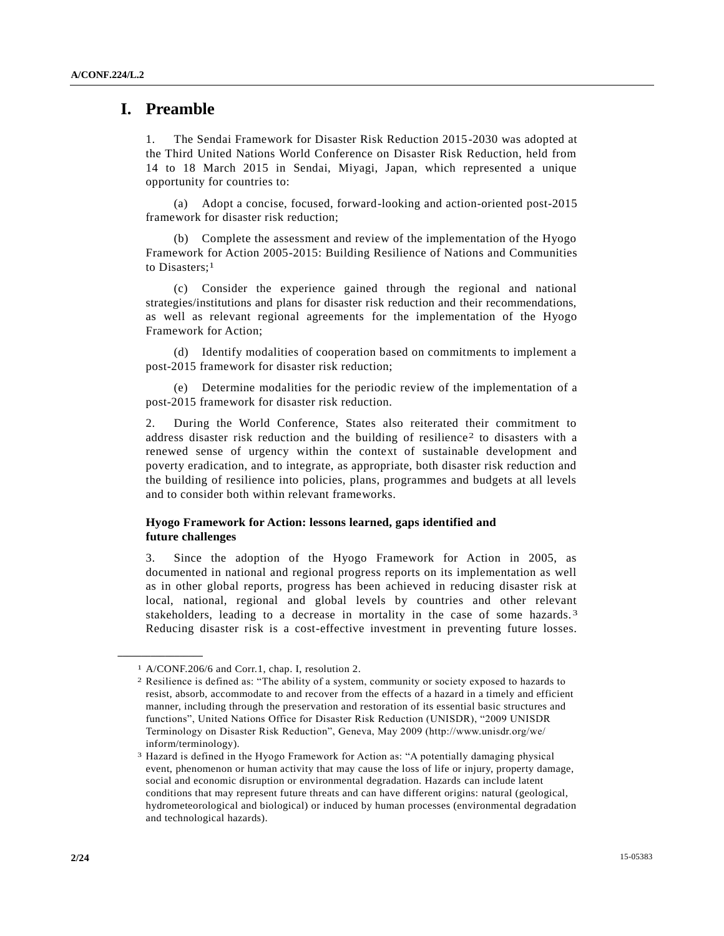## **I. Preamble**

1. The Sendai Framework for Disaster Risk Reduction 2015-2030 was adopted at the Third United Nations World Conference on Disaster Risk Reduction, held from 14 to 18 March 2015 in Sendai, Miyagi, Japan, which represented a unique opportunity for countries to:

(a) Adopt a concise, focused, forward-looking and action-oriented post-2015 framework for disaster risk reduction;

(b) Complete the assessment and review of the implementation of the Hyogo Framework for Action 2005-2015: Building Resilience of Nations and Communities to Disasters;<sup>1</sup>

(c) Consider the experience gained through the regional and national strategies/institutions and plans for disaster risk reduction and their recommendations, as well as relevant regional agreements for the implementation of the Hyogo Framework for Action;

(d) Identify modalities of cooperation based on commitments to implement a post-2015 framework for disaster risk reduction;

(e) Determine modalities for the periodic review of the implementation of a post-2015 framework for disaster risk reduction.

2. During the World Conference, States also reiterated their commitment to address disaster risk reduction and the building of resilience<sup>2</sup> to disasters with a renewed sense of urgency within the context of sustainable development and poverty eradication, and to integrate, as appropriate, both disaster risk reduction and the building of resilience into policies, plans, programmes and budgets at all levels and to consider both within relevant frameworks.

## **Hyogo Framework for Action: lessons learned, gaps identified and future challenges**

3. Since the adoption of the Hyogo Framework for Action in 2005, as documented in national and regional progress reports on its implementation as well as in other global reports, progress has been achieved in reducing disaster risk at local, national, regional and global levels by countries and other relevant stakeholders, leading to a decrease in mortality in the case of some hazards. 3 Reducing disaster risk is a cost-effective investment in preventing future losses.

<sup>1</sup> [A/CONF.206/6](http://undocs.org/A/CONF.206/6) and Corr.1, chap. I, resolution 2.

<sup>2</sup> Resilience is defined as: "The ability of a system, community or society exposed to hazards to resist, absorb, accommodate to and recover from the effects of a hazard in a timely and efficient manner, including through the preservation and restoration of its essential basic structures and functions", United Nations Office for Disaster Risk Reduction (UNISDR), "2009 UNISDR Terminology on Disaster Risk Reduction", Geneva, May 2009 (http://www.unisdr.org/we/ inform/terminology).

<sup>3</sup> Hazard is defined in the Hyogo Framework for Action as: "A potentially damaging physical event, phenomenon or human activity that may cause the loss of life or injury, property damage, social and economic disruption or environmental degradation. Hazards can include latent conditions that may represent future threats and can have different origins: natural (geological, hydrometeorological and biological) or induced by human processes (environmental degradation and technological hazards).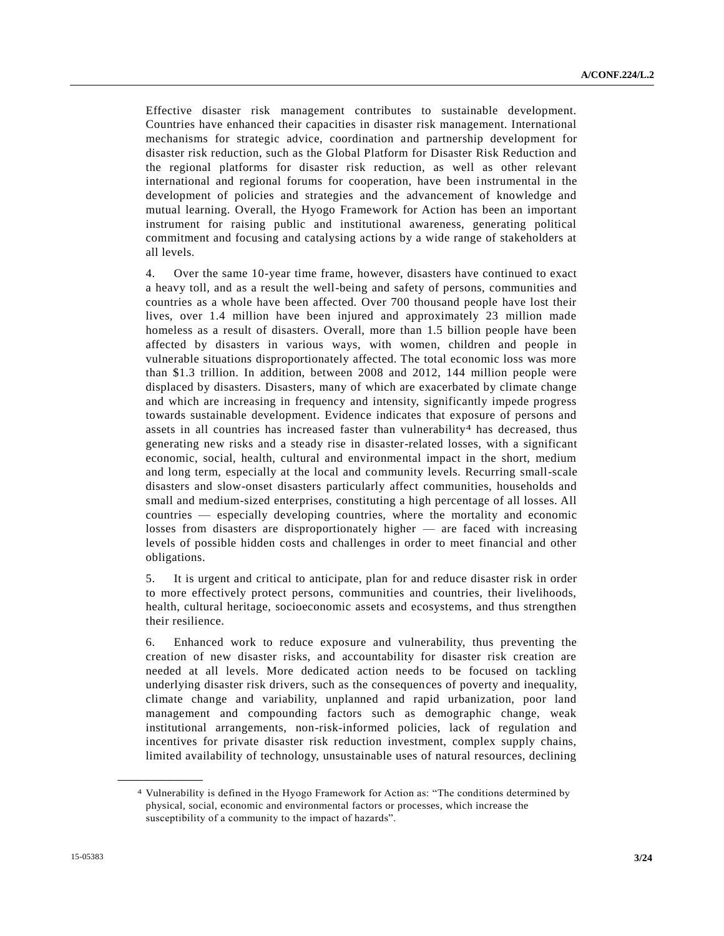Effective disaster risk management contributes to sustainable development. Countries have enhanced their capacities in disaster risk management. International mechanisms for strategic advice, coordination and partnership development for disaster risk reduction, such as the Global Platform for Disaster Risk Reduction and the regional platforms for disaster risk reduction, as well as other relevant international and regional forums for cooperation, have been instrumental in the development of policies and strategies and the advancement of knowledge and mutual learning. Overall, the Hyogo Framework for Action has been an important instrument for raising public and institutional awareness, generating political commitment and focusing and catalysing actions by a wide range of stakeholders at all levels.

4. Over the same 10-year time frame, however, disasters have continued to exact a heavy toll, and as a result the well-being and safety of persons, communities and countries as a whole have been affected. Over 700 thousand people have lost their lives, over 1.4 million have been injured and approximately 23 million made homeless as a result of disasters. Overall, more than 1.5 billion people have been affected by disasters in various ways, with women, children and people in vulnerable situations disproportionately affected. The total economic loss was more than \$1.3 trillion. In addition, between 2008 and 2012, 144 million people were displaced by disasters. Disasters, many of which are exacerbated by climate change and which are increasing in frequency and intensity, significantly impede progress towards sustainable development. Evidence indicates that exposure of persons and assets in all countries has increased faster than vulnerability4 has decreased, thus generating new risks and a steady rise in disaster-related losses, with a significant economic, social, health, cultural and environmental impact in the short, medium and long term, especially at the local and community levels. Recurring small-scale disasters and slow-onset disasters particularly affect communities, households and small and medium-sized enterprises, constituting a high percentage of all losses. All countries — especially developing countries, where the mortality and economic losses from disasters are disproportionately higher — are faced with increasing levels of possible hidden costs and challenges in order to meet financial and other obligations.

5. It is urgent and critical to anticipate, plan for and reduce disaster risk in order to more effectively protect persons, communities and countries, their livelihoods, health, cultural heritage, socioeconomic assets and ecosystems, and thus strengthen their resilience.

6. Enhanced work to reduce exposure and vulnerability, thus preventing the creation of new disaster risks, and accountability for disaster risk creation are needed at all levels. More dedicated action needs to be focused on tackling underlying disaster risk drivers, such as the consequences of poverty and inequality, climate change and variability, unplanned and rapid urbanization, poor land management and compounding factors such as demographic change, weak institutional arrangements, non-risk-informed policies, lack of regulation and incentives for private disaster risk reduction investment, complex supply chains, limited availability of technology, unsustainable uses of natural resources, declining

<sup>4</sup> Vulnerability is defined in the Hyogo Framework for Action as: "The conditions determined by physical, social, economic and environmental factors or processes, which increase the susceptibility of a community to the impact of hazards".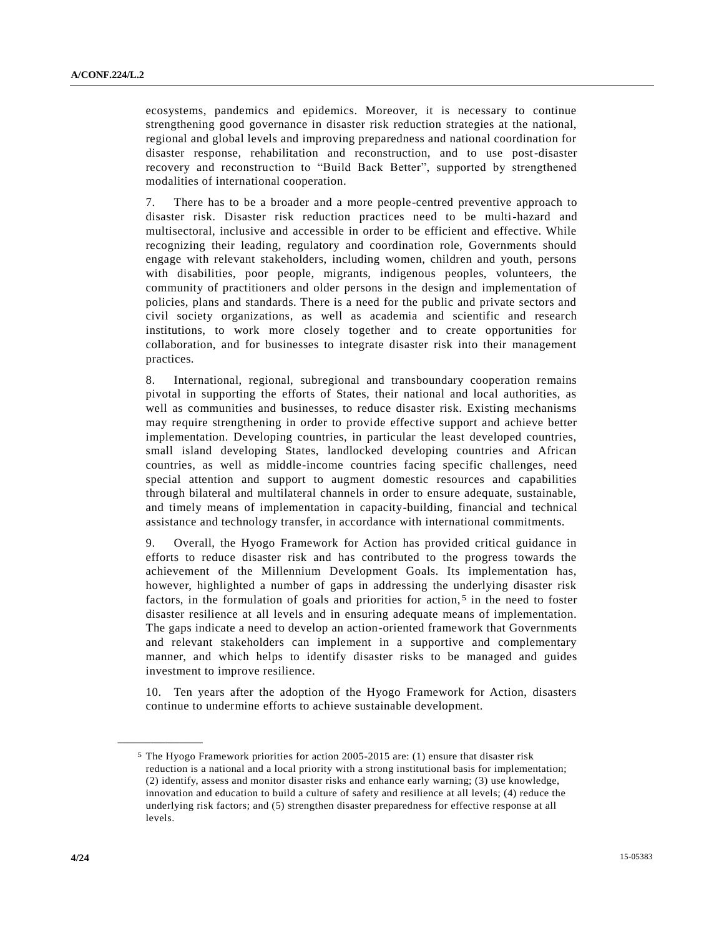ecosystems, pandemics and epidemics. Moreover, it is necessary to continue strengthening good governance in disaster risk reduction strategies at the national, regional and global levels and improving preparedness and national coordination for disaster response, rehabilitation and reconstruction, and to use post-disaster recovery and reconstruction to "Build Back Better", supported by strengthened modalities of international cooperation.

7. There has to be a broader and a more people-centred preventive approach to disaster risk. Disaster risk reduction practices need to be multi-hazard and multisectoral, inclusive and accessible in order to be efficient and effective. While recognizing their leading, regulatory and coordination role, Governments should engage with relevant stakeholders, including women, children and youth, persons with disabilities, poor people, migrants, indigenous peoples, volunteers, the community of practitioners and older persons in the design and implementation of policies, plans and standards. There is a need for the public and private sectors and civil society organizations, as well as academia and scientific and research institutions, to work more closely together and to create opportunities for collaboration, and for businesses to integrate disaster risk into their management practices.

8. International, regional, subregional and transboundary cooperation remains pivotal in supporting the efforts of States, their national and local authorities, as well as communities and businesses, to reduce disaster risk. Existing mechanisms may require strengthening in order to provide effective support and achieve better implementation. Developing countries, in particular the least developed countries, small island developing States, landlocked developing countries and African countries, as well as middle-income countries facing specific challenges, need special attention and support to augment domestic resources and capabilities through bilateral and multilateral channels in order to ensure adequate, sustainable, and timely means of implementation in capacity-building, financial and technical assistance and technology transfer, in accordance with international commitments.

9. Overall, the Hyogo Framework for Action has provided critical guidance in efforts to reduce disaster risk and has contributed to the progress towards the achievement of the Millennium Development Goals. Its implementation has, however, highlighted a number of gaps in addressing the underlying disaster risk factors, in the formulation of goals and priorities for action,<sup>5</sup> in the need to foster disaster resilience at all levels and in ensuring adequate means of implementation. The gaps indicate a need to develop an action-oriented framework that Governments and relevant stakeholders can implement in a supportive and complementary manner, and which helps to identify disaster risks to be managed and guides investment to improve resilience.

10. Ten years after the adoption of the Hyogo Framework for Action, disasters continue to undermine efforts to achieve sustainable development.

<sup>5</sup> The Hyogo Framework priorities for action 2005-2015 are: (1) ensure that disaster risk reduction is a national and a local priority with a strong institutional basis for implementation; (2) identify, assess and monitor disaster risks and enhance early warning; (3) use knowledge, innovation and education to build a culture of safety and resilience at all levels; (4) reduce the underlying risk factors; and (5) strengthen disaster preparedness for effective response at all levels.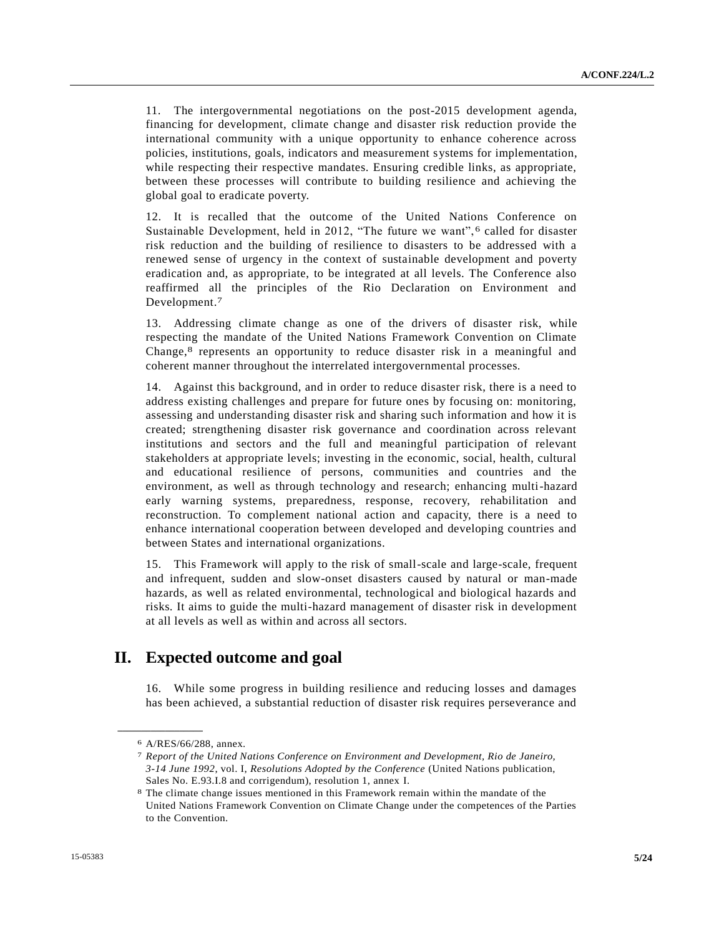11. The intergovernmental negotiations on the post-2015 development agenda, financing for development, climate change and disaster risk reduction provide the international community with a unique opportunity to enhance coherence across policies, institutions, goals, indicators and measurement systems for implementation, while respecting their respective mandates. Ensuring credible links, as appropriate, between these processes will contribute to building resilience and achieving the global goal to eradicate poverty.

12. It is recalled that the outcome of the United Nations Conference on Sustainable Development, held in 2012, "The future we want", 6 called for disaster risk reduction and the building of resilience to disasters to be addressed with a renewed sense of urgency in the context of sustainable development and poverty eradication and, as appropriate, to be integrated at all levels. The Conference also reaffirmed all the principles of the Rio Declaration on Environment and Development. 7

13. Addressing climate change as one of the drivers of disaster risk, while respecting the mandate of the United Nations Framework Convention on Climate Change,<sup>8</sup> represents an opportunity to reduce disaster risk in a meaningful and coherent manner throughout the interrelated intergovernmental processes.

14. Against this background, and in order to reduce disaster risk, there is a need to address existing challenges and prepare for future ones by focusing on: monitoring, assessing and understanding disaster risk and sharing such information and how it is created; strengthening disaster risk governance and coordination across relevant institutions and sectors and the full and meaningful participation of relevant stakeholders at appropriate levels; investing in the economic, social, health, cultural and educational resilience of persons, communities and countries and the environment, as well as through technology and research; enhancing multi-hazard early warning systems, preparedness, response, recovery, rehabilitation and reconstruction. To complement national action and capacity, there is a need to enhance international cooperation between developed and developing countries and between States and international organizations.

15. This Framework will apply to the risk of small-scale and large-scale, frequent and infrequent, sudden and slow-onset disasters caused by natural or man-made hazards, as well as related environmental, technological and biological hazards and risks. It aims to guide the multi-hazard management of disaster risk in development at all levels as well as within and across all sectors.

# **II. Expected outcome and goal**

16. While some progress in building resilience and reducing losses and damages has been achieved, a substantial reduction of disaster risk requires perseverance and

<sup>6</sup> [A/RES/66/288,](http://undocs.org/A/RES/66/288) annex.

<sup>7</sup> *Report of the United Nations Conference on Environment and Development, Rio de Janeiro, 3-14 June 1992*, vol. I, *Resolutions Adopted by the Conference* (United Nations publication, Sales No. E.93.I.8 and corrigendum), resolution 1, annex I.

<sup>8</sup> The climate change issues mentioned in this Framework remain within the mandate of the United Nations Framework Convention on Climate Change under the competences of the Parties to the Convention.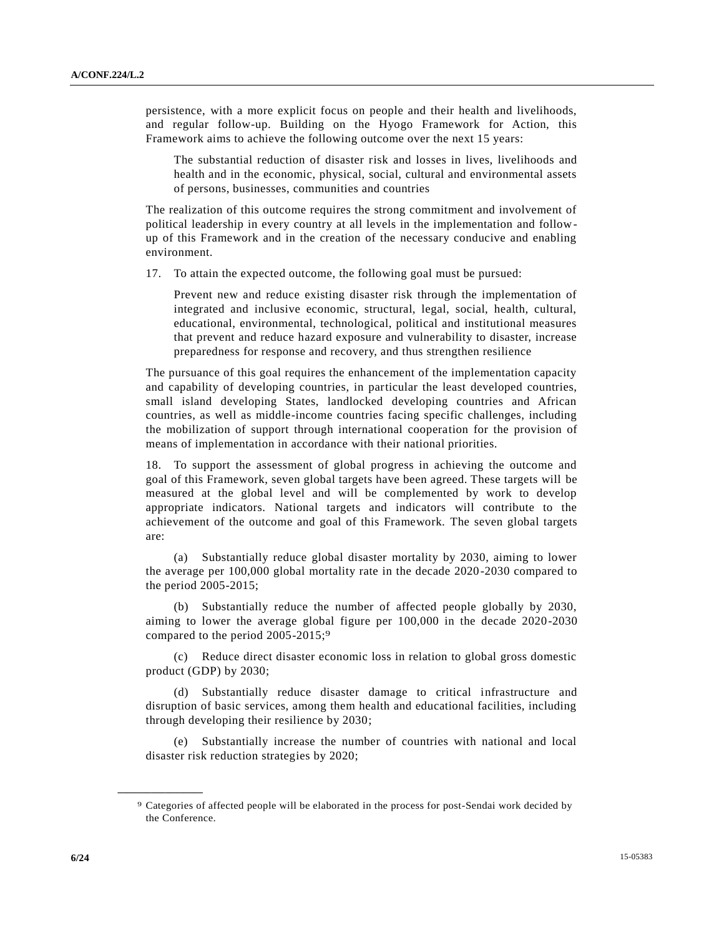persistence, with a more explicit focus on people and their health and livelihoods, and regular follow-up. Building on the Hyogo Framework for Action, this Framework aims to achieve the following outcome over the next 15 years:

The substantial reduction of disaster risk and losses in lives, livelihoods and health and in the economic, physical, social, cultural and environmental assets of persons, businesses, communities and countries

The realization of this outcome requires the strong commitment and involvement of political leadership in every country at all levels in the implementation and followup of this Framework and in the creation of the necessary conducive and enabling environment.

17. To attain the expected outcome, the following goal must be pursued:

Prevent new and reduce existing disaster risk through the implementation of integrated and inclusive economic, structural, legal, social, health, cultural, educational, environmental, technological, political and institutional measures that prevent and reduce hazard exposure and vulnerability to disaster, increase preparedness for response and recovery, and thus strengthen resilience

The pursuance of this goal requires the enhancement of the implementation capacity and capability of developing countries, in particular the least developed countries, small island developing States, landlocked developing countries and African countries, as well as middle-income countries facing specific challenges, including the mobilization of support through international cooperation for the provision of means of implementation in accordance with their national priorities.

18. To support the assessment of global progress in achieving the outcome and goal of this Framework, seven global targets have been agreed. These targets will be measured at the global level and will be complemented by work to develop appropriate indicators. National targets and indicators will contribute to the achievement of the outcome and goal of this Framework. The seven global targets are:

(a) Substantially reduce global disaster mortality by 2030, aiming to lower the average per 100,000 global mortality rate in the decade 2020-2030 compared to the period 2005-2015;

(b) Substantially reduce the number of affected people globally by 2030, aiming to lower the average global figure per 100,000 in the decade 2020-2030 compared to the period 2005-2015; 9

(c) Reduce direct disaster economic loss in relation to global gross domestic product (GDP) by 2030;

(d) Substantially reduce disaster damage to critical infrastructure and disruption of basic services, among them health and educational facilities, including through developing their resilience by 2030;

(e) Substantially increase the number of countries with national and local disaster risk reduction strategies by 2020;

<sup>9</sup> Categories of affected people will be elaborated in the process for post-Sendai work decided by the Conference.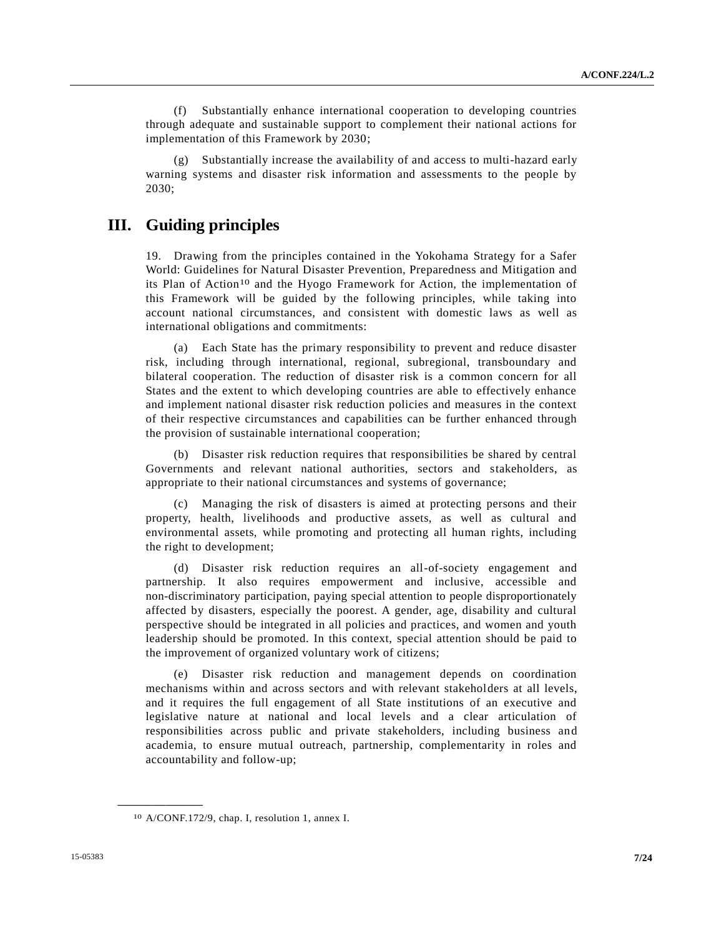(f) Substantially enhance international cooperation to developing countries through adequate and sustainable support to complement their national actions for implementation of this Framework by 2030;

(g) Substantially increase the availability of and access to multi-hazard early warning systems and disaster risk information and assessments to the people by 2030;

# **III. Guiding principles**

19. Drawing from the principles contained in the Yokohama Strategy for a Safer World: Guidelines for Natural Disaster Prevention, Preparedness and Mitigation and its Plan of Action<sup>10</sup> and the Hyogo Framework for Action, the implementation of this Framework will be guided by the following principles, while taking into account national circumstances, and consistent with domestic laws as well as international obligations and commitments:

(a) Each State has the primary responsibility to prevent and reduce disaster risk, including through international, regional, subregional, transboundary and bilateral cooperation. The reduction of disaster risk is a common concern for all States and the extent to which developing countries are able to effectively enhance and implement national disaster risk reduction policies and measures in the context of their respective circumstances and capabilities can be further enhanced through the provision of sustainable international cooperation;

(b) Disaster risk reduction requires that responsibilities be shared by central Governments and relevant national authorities, sectors and stakeholders, as appropriate to their national circumstances and systems of governance;

(c) Managing the risk of disasters is aimed at protecting persons and their property, health, livelihoods and productive assets, as well as cultural and environmental assets, while promoting and protecting all human rights, including the right to development;

(d) Disaster risk reduction requires an all-of-society engagement and partnership. It also requires empowerment and inclusive, accessible and non-discriminatory participation, paying special attention to people disproportionately affected by disasters, especially the poorest. A gender, age, disability and cultural perspective should be integrated in all policies and practices, and women and youth leadership should be promoted. In this context, special attention should be paid to the improvement of organized voluntary work of citizens;

(e) Disaster risk reduction and management depends on coordination mechanisms within and across sectors and with relevant stakeholders at all levels, and it requires the full engagement of all State institutions of an executive and legislative nature at national and local levels and a clear articulation of responsibilities across public and private stakeholders, including business and academia, to ensure mutual outreach, partnership, complementarity in roles and accountability and follow-up;

<sup>10</sup> [A/CONF.172/9,](http://undocs.org/A/CONF.172/9) chap. I, resolution 1, annex I.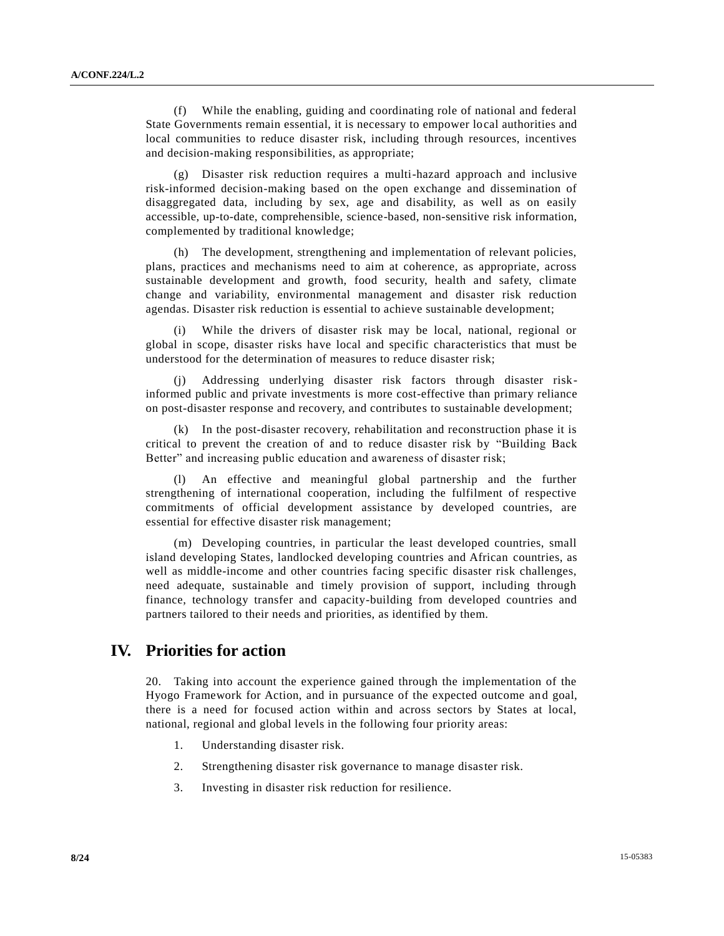(f) While the enabling, guiding and coordinating role of national and federal State Governments remain essential, it is necessary to empower local authorities and local communities to reduce disaster risk, including through resources, incentives and decision-making responsibilities, as appropriate;

(g) Disaster risk reduction requires a multi-hazard approach and inclusive risk-informed decision-making based on the open exchange and dissemination of disaggregated data, including by sex, age and disability, as well as on easily accessible, up-to-date, comprehensible, science-based, non-sensitive risk information, complemented by traditional knowledge;

(h) The development, strengthening and implementation of relevant policies, plans, practices and mechanisms need to aim at coherence, as appropriate, across sustainable development and growth, food security, health and safety, climate change and variability, environmental management and disaster risk reduction agendas. Disaster risk reduction is essential to achieve sustainable development;

(i) While the drivers of disaster risk may be local, national, regional or global in scope, disaster risks have local and specific characteristics that must be understood for the determination of measures to reduce disaster risk;

(j) Addressing underlying disaster risk factors through disaster riskinformed public and private investments is more cost-effective than primary reliance on post-disaster response and recovery, and contributes to sustainable development;

(k) In the post-disaster recovery, rehabilitation and reconstruction phase it is critical to prevent the creation of and to reduce disaster risk by "Building Back Better" and increasing public education and awareness of disaster risk;

(l) An effective and meaningful global partnership and the further strengthening of international cooperation, including the fulfilment of respective commitments of official development assistance by developed countries, are essential for effective disaster risk management;

(m) Developing countries, in particular the least developed countries, small island developing States, landlocked developing countries and African countries, as well as middle-income and other countries facing specific disaster risk challenges, need adequate, sustainable and timely provision of support, including through finance, technology transfer and capacity-building from developed countries and partners tailored to their needs and priorities, as identified by them.

# **IV. Priorities for action**

20. Taking into account the experience gained through the implementation of the Hyogo Framework for Action, and in pursuance of the expected outcome and goal, there is a need for focused action within and across sectors by States at local, national, regional and global levels in the following four priority areas:

- 1. Understanding disaster risk.
- 2. Strengthening disaster risk governance to manage disaster risk.
- 3. Investing in disaster risk reduction for resilience.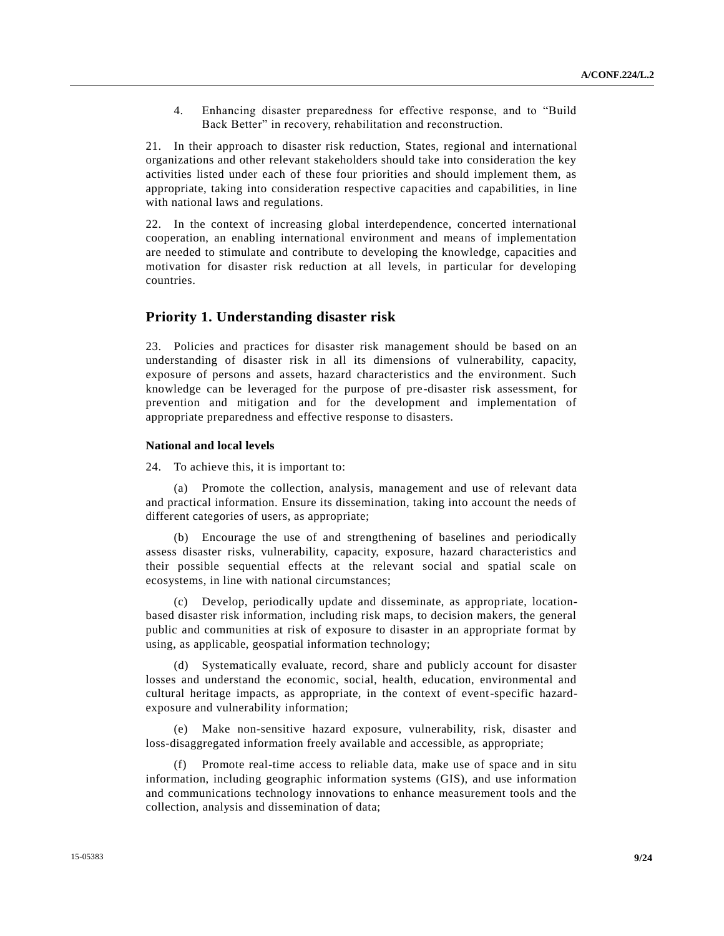4. Enhancing disaster preparedness for effective response, and to "Build Back Better" in recovery, rehabilitation and reconstruction.

21. In their approach to disaster risk reduction, States, regional and international organizations and other relevant stakeholders should take into consideration the key activities listed under each of these four priorities and should implement them, as appropriate, taking into consideration respective capacities and capabilities, in line with national laws and regulations.

22. In the context of increasing global interdependence, concerted international cooperation, an enabling international environment and means of implementation are needed to stimulate and contribute to developing the knowledge, capacities and motivation for disaster risk reduction at all levels, in particular for developing countries.

## **Priority 1. Understanding disaster risk**

23. Policies and practices for disaster risk management should be based on an understanding of disaster risk in all its dimensions of vulnerability, capacity, exposure of persons and assets, hazard characteristics and the environment. Such knowledge can be leveraged for the purpose of pre-disaster risk assessment, for prevention and mitigation and for the development and implementation of appropriate preparedness and effective response to disasters.

#### **National and local levels**

24. To achieve this, it is important to:

(a) Promote the collection, analysis, management and use of relevant data and practical information. Ensure its dissemination, taking into account the needs of different categories of users, as appropriate;

(b) Encourage the use of and strengthening of baselines and periodically assess disaster risks, vulnerability, capacity, exposure, hazard characteristics and their possible sequential effects at the relevant social and spatial scale on ecosystems, in line with national circumstances;

(c) Develop, periodically update and disseminate, as appropriate, locationbased disaster risk information, including risk maps, to decision makers, the general public and communities at risk of exposure to disaster in an appropriate format by using, as applicable, geospatial information technology;

(d) Systematically evaluate, record, share and publicly account for disaster losses and understand the economic, social, health, education, environmental and cultural heritage impacts, as appropriate, in the context of event-specific hazardexposure and vulnerability information;

(e) Make non-sensitive hazard exposure, vulnerability, risk, disaster and loss-disaggregated information freely available and accessible, as appropriate;

(f) Promote real-time access to reliable data, make use of space and in situ information, including geographic information systems (GIS), and use information and communications technology innovations to enhance measurement tools and the collection, analysis and dissemination of data;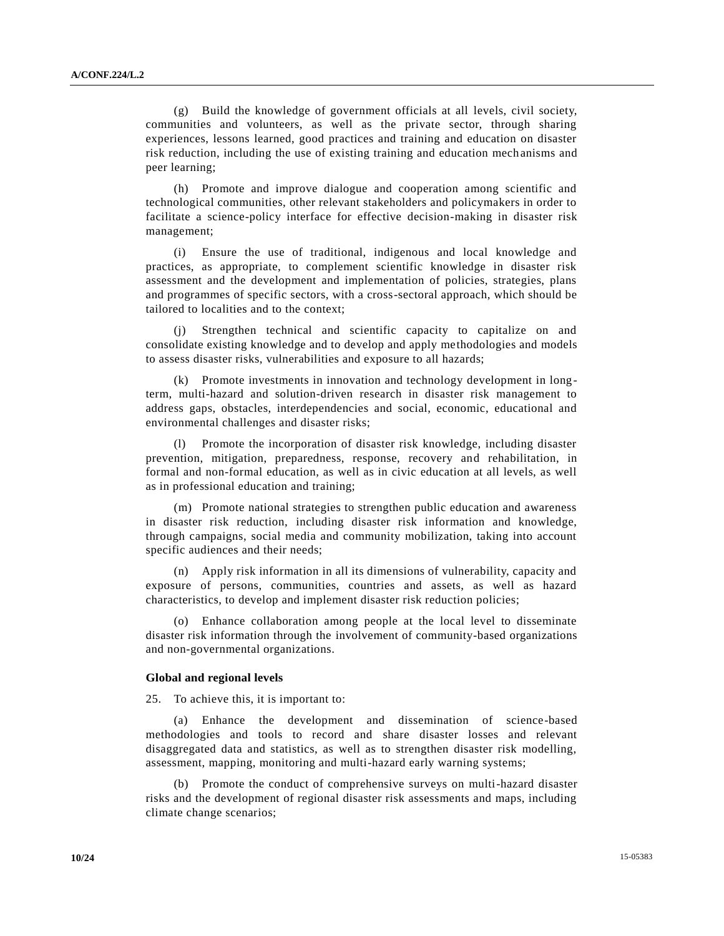(g) Build the knowledge of government officials at all levels, civil society, communities and volunteers, as well as the private sector, through sharing experiences, lessons learned, good practices and training and education on disaster risk reduction, including the use of existing training and education mechanisms and peer learning;

(h) Promote and improve dialogue and cooperation among scientific and technological communities, other relevant stakeholders and policymakers in order to facilitate a science-policy interface for effective decision-making in disaster risk management;

(i) Ensure the use of traditional, indigenous and local knowledge and practices, as appropriate, to complement scientific knowledge in disaster risk assessment and the development and implementation of policies, strategies, plans and programmes of specific sectors, with a cross-sectoral approach, which should be tailored to localities and to the context;

(j) Strengthen technical and scientific capacity to capitalize on and consolidate existing knowledge and to develop and apply methodologies and models to assess disaster risks, vulnerabilities and exposure to all hazards;

(k) Promote investments in innovation and technology development in longterm, multi-hazard and solution-driven research in disaster risk management to address gaps, obstacles, interdependencies and social, economic, educational and environmental challenges and disaster risks;

(l) Promote the incorporation of disaster risk knowledge, including disaster prevention, mitigation, preparedness, response, recovery and rehabilitation, in formal and non-formal education, as well as in civic education at all levels, as well as in professional education and training;

(m) Promote national strategies to strengthen public education and awareness in disaster risk reduction, including disaster risk information and knowledge, through campaigns, social media and community mobilization, taking into account specific audiences and their needs;

(n) Apply risk information in all its dimensions of vulnerability, capacity and exposure of persons, communities, countries and assets, as well as hazard characteristics, to develop and implement disaster risk reduction policies;

(o) Enhance collaboration among people at the local level to disseminate disaster risk information through the involvement of community-based organizations and non-governmental organizations.

#### **Global and regional levels**

25. To achieve this, it is important to:

(a) Enhance the development and dissemination of science-based methodologies and tools to record and share disaster losses and relevant disaggregated data and statistics, as well as to strengthen disaster risk modelling, assessment, mapping, monitoring and multi-hazard early warning systems;

(b) Promote the conduct of comprehensive surveys on multi-hazard disaster risks and the development of regional disaster risk assessments and maps, including climate change scenarios;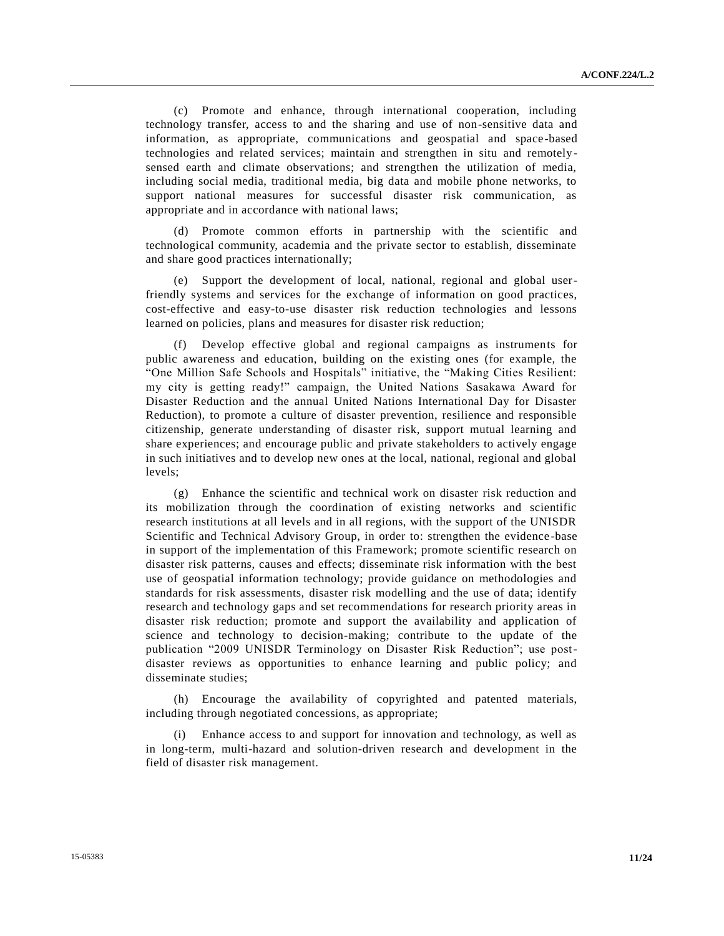(c) Promote and enhance, through international cooperation, including technology transfer, access to and the sharing and use of non-sensitive data and information, as appropriate, communications and geospatial and space -based technologies and related services; maintain and strengthen in situ and remotelysensed earth and climate observations; and strengthen the utilization of media, including social media, traditional media, big data and mobile phone networks, to support national measures for successful disaster risk communication, as appropriate and in accordance with national laws;

(d) Promote common efforts in partnership with the scientific and technological community, academia and the private sector to establish, disseminate and share good practices internationally;

(e) Support the development of local, national, regional and global userfriendly systems and services for the exchange of information on good practices, cost-effective and easy-to-use disaster risk reduction technologies and lessons learned on policies, plans and measures for disaster risk reduction;

(f) Develop effective global and regional campaigns as instruments for public awareness and education, building on the existing ones (for example, the "One Million Safe Schools and Hospitals" initiative, the "Making Cities Resilient: my city is getting ready!" campaign, the United Nations Sasakawa Award for Disaster Reduction and the annual United Nations International Day for Disaster Reduction), to promote a culture of disaster prevention, resilience and responsible citizenship, generate understanding of disaster risk, support mutual learning and share experiences; and encourage public and private stakeholders to actively engage in such initiatives and to develop new ones at the local, national, regional and global levels;

(g) Enhance the scientific and technical work on disaster risk reduction and its mobilization through the coordination of existing networks and scientific research institutions at all levels and in all regions, with the support of the UNISDR Scientific and Technical Advisory Group, in order to: strengthen the evidence -base in support of the implementation of this Framework; promote scientific research on disaster risk patterns, causes and effects; disseminate risk information with the best use of geospatial information technology; provide guidance on methodologies and standards for risk assessments, disaster risk modelling and the use of data; identify research and technology gaps and set recommendations for research priority areas in disaster risk reduction; promote and support the availability and application of science and technology to decision-making; contribute to the update of the publication "2009 UNISDR Terminology on Disaster Risk Reduction"; use postdisaster reviews as opportunities to enhance learning and public policy; and disseminate studies;

(h) Encourage the availability of copyrighted and patented materials, including through negotiated concessions, as appropriate;

(i) Enhance access to and support for innovation and technology, as well as in long-term, multi-hazard and solution-driven research and development in the field of disaster risk management.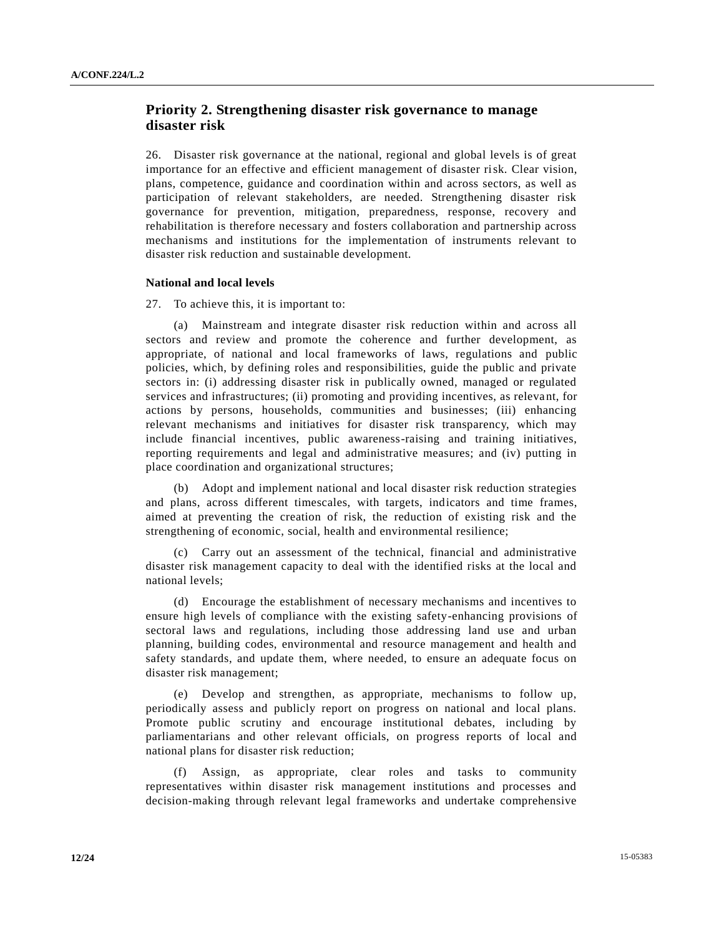# **Priority 2. Strengthening disaster risk governance to manage disaster risk**

26. Disaster risk governance at the national, regional and global levels is of great importance for an effective and efficient management of disaster risk. Clear vision, plans, competence, guidance and coordination within and across sectors, as well as participation of relevant stakeholders, are needed. Strengthening disaster risk governance for prevention, mitigation, preparedness, response, recovery and rehabilitation is therefore necessary and fosters collaboration and partnership across mechanisms and institutions for the implementation of instruments relevant to disaster risk reduction and sustainable development.

#### **National and local levels**

27. To achieve this, it is important to:

(a) Mainstream and integrate disaster risk reduction within and across all sectors and review and promote the coherence and further development, as appropriate, of national and local frameworks of laws, regulations and public policies, which, by defining roles and responsibilities, guide the public and private sectors in: (i) addressing disaster risk in publically owned, managed or regulated services and infrastructures; (ii) promoting and providing incentives, as releva nt, for actions by persons, households, communities and businesses; (iii) enhancing relevant mechanisms and initiatives for disaster risk transparency, which may include financial incentives, public awareness-raising and training initiatives, reporting requirements and legal and administrative measures; and (iv) putting in place coordination and organizational structures;

(b) Adopt and implement national and local disaster risk reduction strategies and plans, across different timescales, with targets, indicators and time frames, aimed at preventing the creation of risk, the reduction of existing risk and the strengthening of economic, social, health and environmental resilience;

(c) Carry out an assessment of the technical, financial and administrative disaster risk management capacity to deal with the identified risks at the local and national levels;

(d) Encourage the establishment of necessary mechanisms and incentives to ensure high levels of compliance with the existing safety-enhancing provisions of sectoral laws and regulations, including those addressing land use and urban planning, building codes, environmental and resource management and health and safety standards, and update them, where needed, to ensure an adequate focus on disaster risk management;

(e) Develop and strengthen, as appropriate, mechanisms to follow up, periodically assess and publicly report on progress on national and local plans. Promote public scrutiny and encourage institutional debates, including by parliamentarians and other relevant officials, on progress reports of local and national plans for disaster risk reduction;

(f) Assign, as appropriate, clear roles and tasks to community representatives within disaster risk management institutions and processes and decision-making through relevant legal frameworks and undertake comprehensive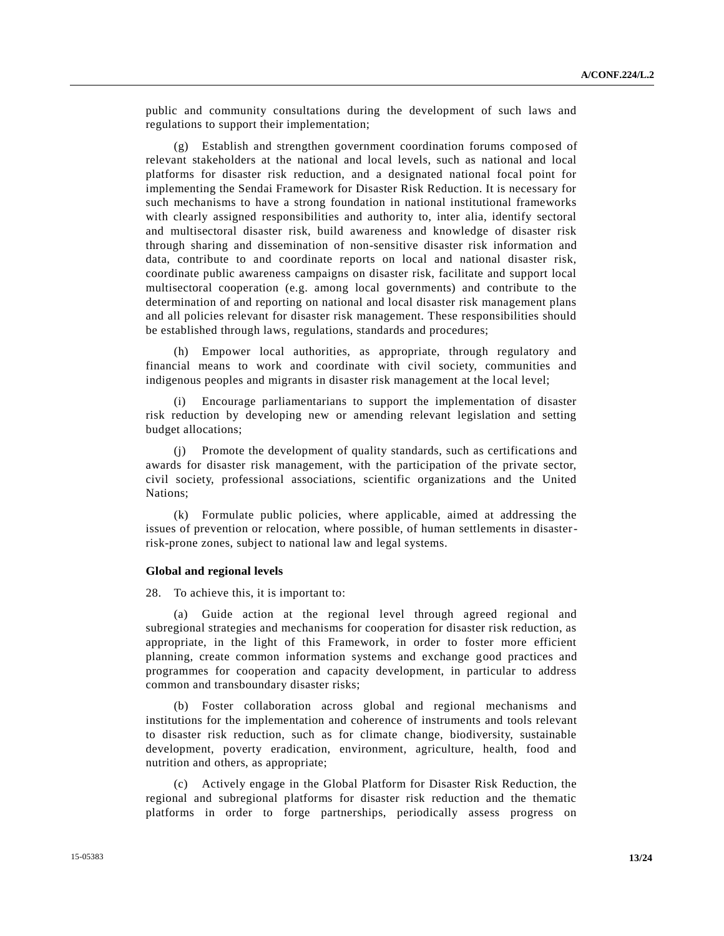public and community consultations during the development of such laws and regulations to support their implementation;

(g) Establish and strengthen government coordination forums composed of relevant stakeholders at the national and local levels, such as national and local platforms for disaster risk reduction, and a designated national focal point for implementing the Sendai Framework for Disaster Risk Reduction. It is necessary for such mechanisms to have a strong foundation in national institutional frameworks with clearly assigned responsibilities and authority to, inter alia, identify sectoral and multisectoral disaster risk, build awareness and knowledge of disaster risk through sharing and dissemination of non-sensitive disaster risk information and data, contribute to and coordinate reports on local and national disaster risk, coordinate public awareness campaigns on disaster risk, facilitate and support local multisectoral cooperation (e.g. among local governments) and contribute to the determination of and reporting on national and local disaster risk management plans and all policies relevant for disaster risk management. These responsibilities should be established through laws, regulations, standards and procedures;

(h) Empower local authorities, as appropriate, through regulatory and financial means to work and coordinate with civil society, communities and indigenous peoples and migrants in disaster risk management at the local level;

Encourage parliamentarians to support the implementation of disaster risk reduction by developing new or amending relevant legislation and setting budget allocations;

(j) Promote the development of quality standards, such as certifications and awards for disaster risk management, with the participation of the private sector, civil society, professional associations, scientific organizations and the United Nations;

(k) Formulate public policies, where applicable, aimed at addressing the issues of prevention or relocation, where possible, of human settlements in disasterrisk-prone zones, subject to national law and legal systems.

#### **Global and regional levels**

28. To achieve this, it is important to:

(a) Guide action at the regional level through agreed regional and subregional strategies and mechanisms for cooperation for disaster risk reduction, as appropriate, in the light of this Framework, in order to foster more efficient planning, create common information systems and exchange good practices and programmes for cooperation and capacity development, in particular to address common and transboundary disaster risks;

(b) Foster collaboration across global and regional mechanisms and institutions for the implementation and coherence of instruments and tools relevant to disaster risk reduction, such as for climate change, biodiversity, sustainable development, poverty eradication, environment, agriculture, health, food and nutrition and others, as appropriate;

(c) Actively engage in the Global Platform for Disaster Risk Reduction, the regional and subregional platforms for disaster risk reduction and the thematic platforms in order to forge partnerships, periodically assess progress on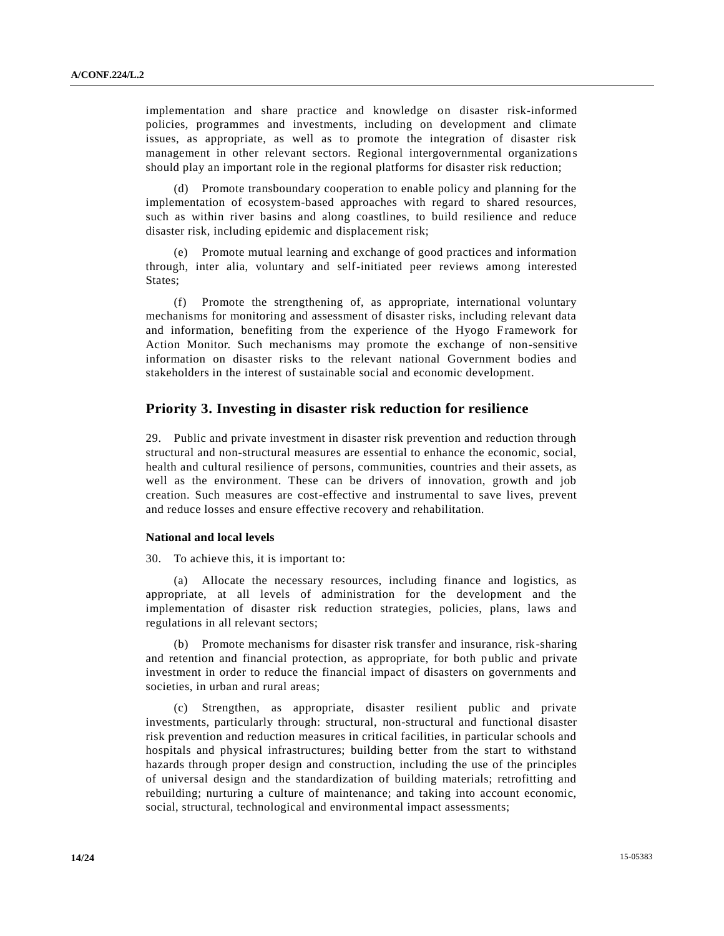implementation and share practice and knowledge on disaster risk-informed policies, programmes and investments, including on development and climate issues, as appropriate, as well as to promote the integration of disaster risk management in other relevant sectors. Regional intergovernmental organizations should play an important role in the regional platforms for disaster risk reduction;

(d) Promote transboundary cooperation to enable policy and planning for the implementation of ecosystem-based approaches with regard to shared resources, such as within river basins and along coastlines, to build resilience and reduce disaster risk, including epidemic and displacement risk;

(e) Promote mutual learning and exchange of good practices and information through, inter alia, voluntary and self-initiated peer reviews among interested States;

(f) Promote the strengthening of, as appropriate, international voluntary mechanisms for monitoring and assessment of disaster risks, including relevant data and information, benefiting from the experience of the Hyogo Framework for Action Monitor. Such mechanisms may promote the exchange of non-sensitive information on disaster risks to the relevant national Government bodies and stakeholders in the interest of sustainable social and economic development.

## **Priority 3. Investing in disaster risk reduction for resilience**

29. Public and private investment in disaster risk prevention and reduction through structural and non-structural measures are essential to enhance the economic, social, health and cultural resilience of persons, communities, countries and their assets, as well as the environment. These can be drivers of innovation, growth and job creation. Such measures are cost-effective and instrumental to save lives, prevent and reduce losses and ensure effective recovery and rehabilitation.

### **National and local levels**

30. To achieve this, it is important to:

(a) Allocate the necessary resources, including finance and logistics, as appropriate, at all levels of administration for the development and the implementation of disaster risk reduction strategies, policies, plans, laws and regulations in all relevant sectors;

(b) Promote mechanisms for disaster risk transfer and insurance, risk-sharing and retention and financial protection, as appropriate, for both public and private investment in order to reduce the financial impact of disasters on governments and societies, in urban and rural areas;

(c) Strengthen, as appropriate, disaster resilient public and private investments, particularly through: structural, non-structural and functional disaster risk prevention and reduction measures in critical facilities, in particular schools and hospitals and physical infrastructures; building better from the start to withstand hazards through proper design and construction, including the use of the principles of universal design and the standardization of building materials; retrofitting and rebuilding; nurturing a culture of maintenance; and taking into account economic, social, structural, technological and environmental impact assessments;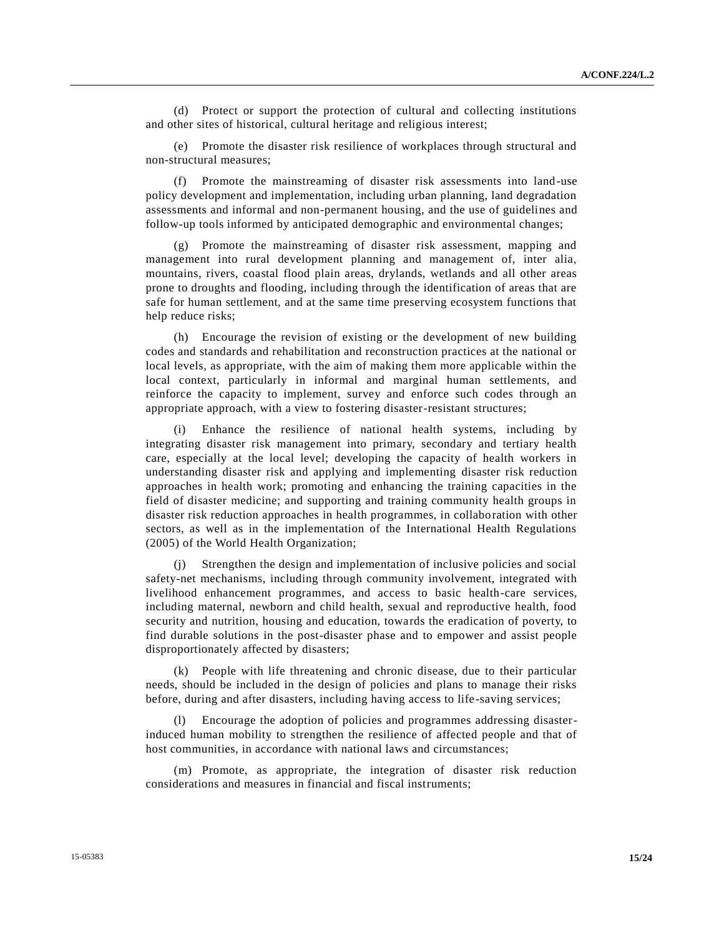(d) Protect or support the protection of cultural and collecting institutions and other sites of historical, cultural heritage and religious interest;

Promote the disaster risk resilience of workplaces through structural and non-structural measures;

(f) Promote the mainstreaming of disaster risk assessments into land-use policy development and implementation, including urban planning, land degradation assessments and informal and non-permanent housing, and the use of guidelines and follow-up tools informed by anticipated demographic and environmental changes;

Promote the mainstreaming of disaster risk assessment, mapping and management into rural development planning and management of, inter alia, mountains, rivers, coastal flood plain areas, drylands, wetlands and all other areas prone to droughts and flooding, including through the identification of areas that are safe for human settlement, and at the same time preserving ecosystem functions that help reduce risks;

(h) Encourage the revision of existing or the development of new building codes and standards and rehabilitation and reconstruction practices at the national or local levels, as appropriate, with the aim of making them more applicable within the local context, particularly in informal and marginal human settlements, and reinforce the capacity to implement, survey and enforce such codes through an appropriate approach, with a view to fostering disaster-resistant structures;

Enhance the resilience of national health systems, including by integrating disaster risk management into primary, secondary and tertiary health care, especially at the local level; developing the capacity of health workers in understanding disaster risk and applying and implementing disaster risk reduction approaches in health work; promoting and enhancing the training capacities in the field of disaster medicine; and supporting and training community health groups in disaster risk reduction approaches in health programmes, in collaboration with other sectors, as well as in the implementation of the International Health Regulations (2005) of the World Health Organization;

Strengthen the design and implementation of inclusive policies and social safety-net mechanisms, including through community involvement, integrated with livelihood enhancement programmes, and access to basic health-care services, including maternal, newborn and child health, sexual and reproductive health, food security and nutrition, housing and education, towards the eradication of poverty, to find durable solutions in the post-disaster phase and to empower and assist people disproportionately affected by disasters;

(k) People with life threatening and chronic disease, due to their particular needs, should be included in the design of policies and plans to manage their risks before, during and after disasters, including having access to life -saving services;

Encourage the adoption of policies and programmes addressing disasterinduced human mobility to strengthen the resilience of affected people and that of host communities, in accordance with national laws and circumstances;

(m) Promote, as appropriate, the integration of disaster risk reduction considerations and measures in financial and fiscal instruments;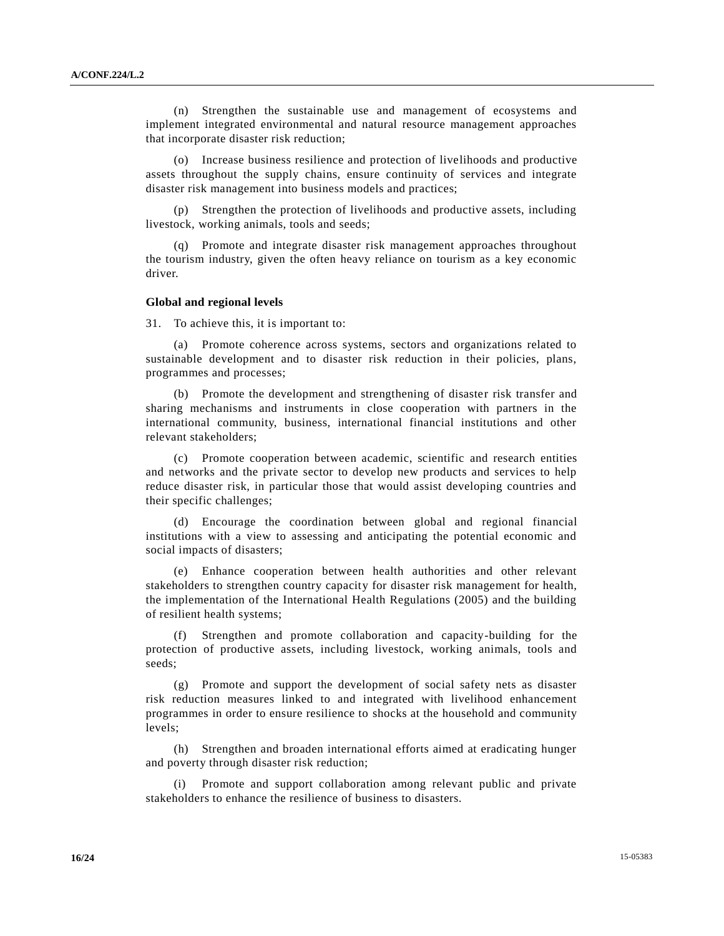(n) Strengthen the sustainable use and management of ecosystems and implement integrated environmental and natural resource management approaches that incorporate disaster risk reduction;

(o) Increase business resilience and protection of livelihoods and productive assets throughout the supply chains, ensure continuity of services and integrate disaster risk management into business models and practices;

(p) Strengthen the protection of livelihoods and productive assets, including livestock, working animals, tools and seeds;

(q) Promote and integrate disaster risk management approaches throughout the tourism industry, given the often heavy reliance on tourism as a key economic driver.

#### **Global and regional levels**

31. To achieve this, it is important to:

(a) Promote coherence across systems, sectors and organizations related to sustainable development and to disaster risk reduction in their policies, plans, programmes and processes;

(b) Promote the development and strengthening of disaster risk transfer and sharing mechanisms and instruments in close cooperation with partners in the international community, business, international financial institutions and other relevant stakeholders;

(c) Promote cooperation between academic, scientific and research entities and networks and the private sector to develop new products and services to help reduce disaster risk, in particular those that would assist developing countries and their specific challenges;

(d) Encourage the coordination between global and regional financial institutions with a view to assessing and anticipating the potential economic and social impacts of disasters;

(e) Enhance cooperation between health authorities and other relevant stakeholders to strengthen country capacity for disaster risk management for health, the implementation of the International Health Regulations (2005) and the building of resilient health systems;

(f) Strengthen and promote collaboration and capacity-building for the protection of productive assets, including livestock, working animals, tools and seeds;

(g) Promote and support the development of social safety nets as disaster risk reduction measures linked to and integrated with livelihood enhancement programmes in order to ensure resilience to shocks at the household and community levels;

(h) Strengthen and broaden international efforts aimed at eradicating hunger and poverty through disaster risk reduction;

(i) Promote and support collaboration among relevant public and private stakeholders to enhance the resilience of business to disasters.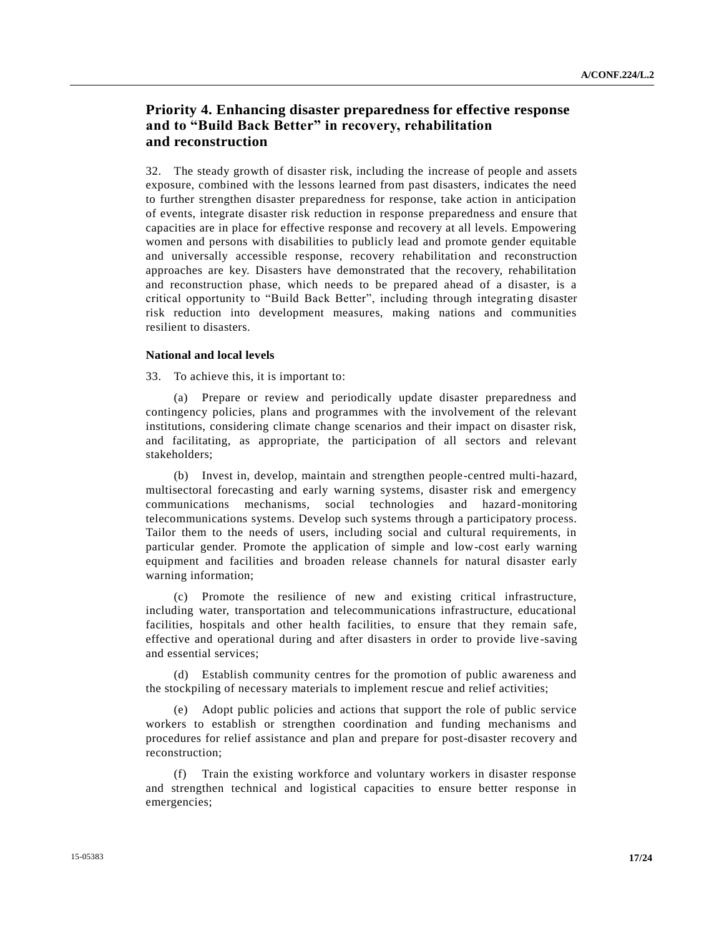# **Priority 4. Enhancing disaster preparedness for effective response and to "Build Back Better" in recovery, rehabilitation and reconstruction**

32. The steady growth of disaster risk, including the increase of people and assets exposure, combined with the lessons learned from past disasters, indicates the need to further strengthen disaster preparedness for response, take action in anticipation of events, integrate disaster risk reduction in response preparedness and ensure that capacities are in place for effective response and recovery at all levels. Empowering women and persons with disabilities to publicly lead and promote gender equitable and universally accessible response, recovery rehabilitation and reconstruction approaches are key. Disasters have demonstrated that the recovery, rehabilitation and reconstruction phase, which needs to be prepared ahead of a disaster, is a critical opportunity to "Build Back Better", including through integrating disaster risk reduction into development measures, making nations and communities resilient to disasters.

### **National and local levels**

33. To achieve this, it is important to:

(a) Prepare or review and periodically update disaster preparedness and contingency policies, plans and programmes with the involvement of the relevant institutions, considering climate change scenarios and their impact on disaster risk, and facilitating, as appropriate, the participation of all sectors and relevant stakeholders;

(b) Invest in, develop, maintain and strengthen people-centred multi-hazard, multisectoral forecasting and early warning systems, disaster risk and emergency communications mechanisms, social technologies and hazard-monitoring telecommunications systems. Develop such systems through a participatory process. Tailor them to the needs of users, including social and cultural requirements, in particular gender. Promote the application of simple and low-cost early warning equipment and facilities and broaden release channels for natural disaster early warning information;

(c) Promote the resilience of new and existing critical infrastructure, including water, transportation and telecommunications infrastructure, educational facilities, hospitals and other health facilities, to ensure that they remain safe, effective and operational during and after disasters in order to provide live -saving and essential services;

(d) Establish community centres for the promotion of public awareness and the stockpiling of necessary materials to implement rescue and relief activities;

(e) Adopt public policies and actions that support the role of public service workers to establish or strengthen coordination and funding mechanisms and procedures for relief assistance and plan and prepare for post-disaster recovery and reconstruction;

(f) Train the existing workforce and voluntary workers in disaster response and strengthen technical and logistical capacities to ensure better response in emergencies;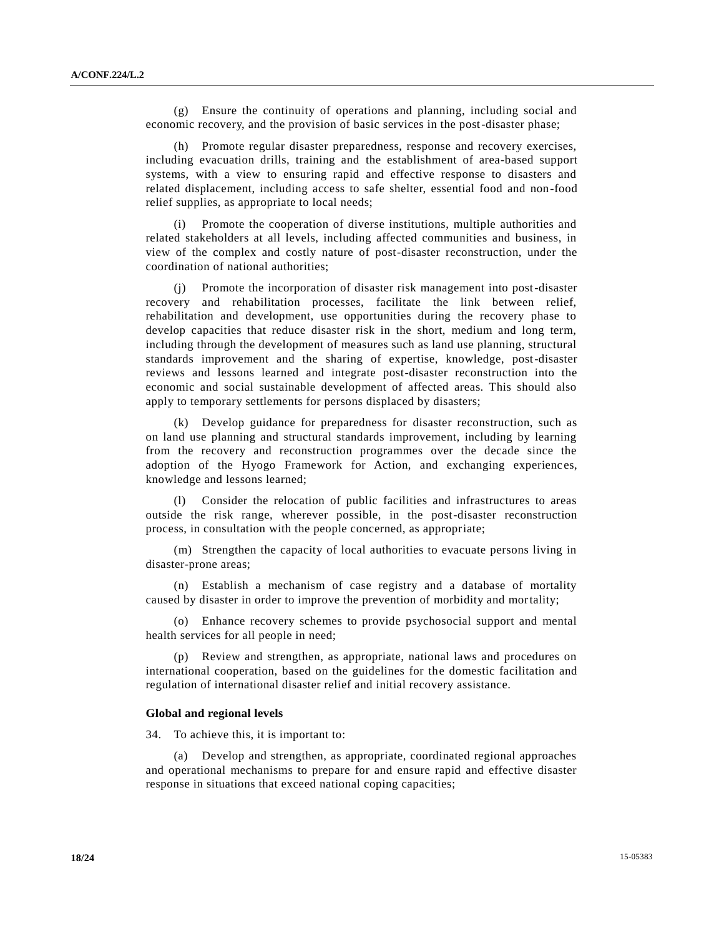(g) Ensure the continuity of operations and planning, including social and economic recovery, and the provision of basic services in the post-disaster phase;

(h) Promote regular disaster preparedness, response and recovery exercises, including evacuation drills, training and the establishment of area-based support systems, with a view to ensuring rapid and effective response to disasters and related displacement, including access to safe shelter, essential food and non-food relief supplies, as appropriate to local needs;

Promote the cooperation of diverse institutions, multiple authorities and related stakeholders at all levels, including affected communities and business, in view of the complex and costly nature of post-disaster reconstruction, under the coordination of national authorities;

(j) Promote the incorporation of disaster risk management into post-disaster recovery and rehabilitation processes, facilitate the link between relief, rehabilitation and development, use opportunities during the recovery phase to develop capacities that reduce disaster risk in the short, medium and long term, including through the development of measures such as land use planning, structural standards improvement and the sharing of expertise, knowledge, post-disaster reviews and lessons learned and integrate post-disaster reconstruction into the economic and social sustainable development of affected areas. This should also apply to temporary settlements for persons displaced by disasters;

(k) Develop guidance for preparedness for disaster reconstruction, such as on land use planning and structural standards improvement, including by learning from the recovery and reconstruction programmes over the decade since the adoption of the Hyogo Framework for Action, and exchanging experienc es, knowledge and lessons learned;

(l) Consider the relocation of public facilities and infrastructures to areas outside the risk range, wherever possible, in the post-disaster reconstruction process, in consultation with the people concerned, as appropriate;

(m) Strengthen the capacity of local authorities to evacuate persons living in disaster-prone areas;

(n) Establish a mechanism of case registry and a database of mortality caused by disaster in order to improve the prevention of morbidity and mortality;

(o) Enhance recovery schemes to provide psychosocial support and mental health services for all people in need;

(p) Review and strengthen, as appropriate, national laws and procedures on international cooperation, based on the guidelines for the domestic facilitation and regulation of international disaster relief and initial recovery assistance.

### **Global and regional levels**

34. To achieve this, it is important to:

(a) Develop and strengthen, as appropriate, coordinated regional approaches and operational mechanisms to prepare for and ensure rapid and effective disaster response in situations that exceed national coping capacities;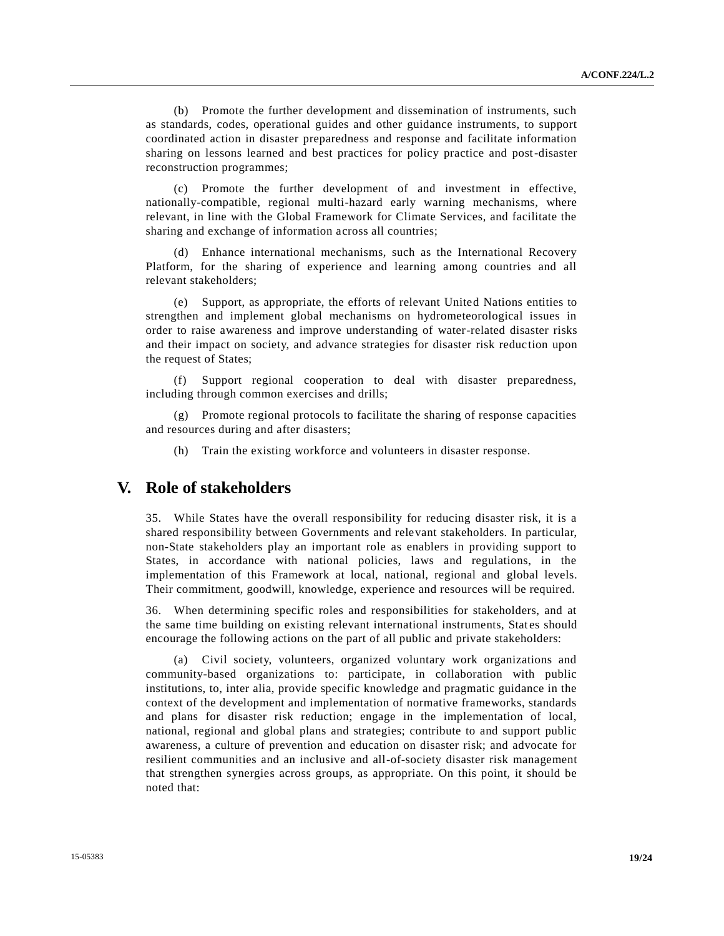(b) Promote the further development and dissemination of instruments, such as standards, codes, operational guides and other guidance instruments, to support coordinated action in disaster preparedness and response and facilitate information sharing on lessons learned and best practices for policy practice and post-disaster reconstruction programmes;

(c) Promote the further development of and investment in effective, nationally-compatible, regional multi-hazard early warning mechanisms, where relevant, in line with the Global Framework for Climate Services, and facilitate the sharing and exchange of information across all countries;

(d) Enhance international mechanisms, such as the International Recovery Platform, for the sharing of experience and learning among countries and all relevant stakeholders;

(e) Support, as appropriate, the efforts of relevant United Nations entities to strengthen and implement global mechanisms on hydrometeorological issues in order to raise awareness and improve understanding of water-related disaster risks and their impact on society, and advance strategies for disaster risk reduc tion upon the request of States;

(f) Support regional cooperation to deal with disaster preparedness, including through common exercises and drills;

(g) Promote regional protocols to facilitate the sharing of response capacities and resources during and after disasters;

(h) Train the existing workforce and volunteers in disaster response.

# **V. Role of stakeholders**

35. While States have the overall responsibility for reducing disaster risk, it is a shared responsibility between Governments and relevant stakeholders. In particular, non-State stakeholders play an important role as enablers in providing support to States, in accordance with national policies, laws and regulations, in the implementation of this Framework at local, national, regional and global levels. Their commitment, goodwill, knowledge, experience and resources will be required.

36. When determining specific roles and responsibilities for stakeholders, and at the same time building on existing relevant international instruments, States should encourage the following actions on the part of all public and private stakeholders:

(a) Civil society, volunteers, organized voluntary work organizations and community-based organizations to: participate, in collaboration with public institutions, to, inter alia, provide specific knowledge and pragmatic guidance in the context of the development and implementation of normative frameworks, standards and plans for disaster risk reduction; engage in the implementation of local, national, regional and global plans and strategies; contribute to and support public awareness, a culture of prevention and education on disaster risk; and advocate for resilient communities and an inclusive and all-of-society disaster risk management that strengthen synergies across groups, as appropriate. On this point, it should be noted that: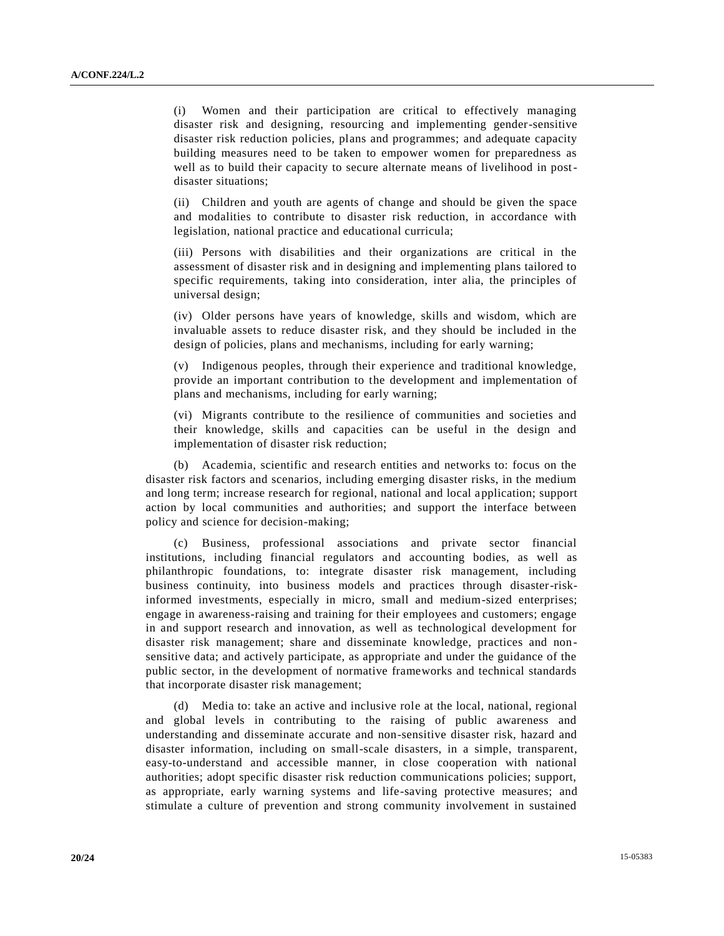(i) Women and their participation are critical to effectively managing disaster risk and designing, resourcing and implementing gender-sensitive disaster risk reduction policies, plans and programmes; and adequate capacity building measures need to be taken to empower women for preparedness as well as to build their capacity to secure alternate means of livelihood in postdisaster situations;

(ii) Children and youth are agents of change and should be given the space and modalities to contribute to disaster risk reduction, in accordance with legislation, national practice and educational curricula;

(iii) Persons with disabilities and their organizations are critical in the assessment of disaster risk and in designing and implementing plans tailored to specific requirements, taking into consideration, inter alia, the principles of universal design;

(iv) Older persons have years of knowledge, skills and wisdom, which are invaluable assets to reduce disaster risk, and they should be included in the design of policies, plans and mechanisms, including for early warning;

(v) Indigenous peoples, through their experience and traditional knowledge, provide an important contribution to the development and implementation of plans and mechanisms, including for early warning;

(vi) Migrants contribute to the resilience of communities and societies and their knowledge, skills and capacities can be useful in the design and implementation of disaster risk reduction;

(b) Academia, scientific and research entities and networks to: focus on the disaster risk factors and scenarios, including emerging disaster risks, in the medium and long term; increase research for regional, national and local application; support action by local communities and authorities; and support the interface between policy and science for decision-making;

(c) Business, professional associations and private sector financial institutions, including financial regulators and accounting bodies, as well as philanthropic foundations, to: integrate disaster risk management, including business continuity, into business models and practices through disaster-riskinformed investments, especially in micro, small and medium-sized enterprises; engage in awareness-raising and training for their employees and customers; engage in and support research and innovation, as well as technological development for disaster risk management; share and disseminate knowledge, practices and nonsensitive data; and actively participate, as appropriate and under the guidance of the public sector, in the development of normative frameworks and technical standards that incorporate disaster risk management;

(d) Media to: take an active and inclusive role at the local, national, regional and global levels in contributing to the raising of public awareness and understanding and disseminate accurate and non-sensitive disaster risk, hazard and disaster information, including on small-scale disasters, in a simple, transparent, easy-to-understand and accessible manner, in close cooperation with national authorities; adopt specific disaster risk reduction communications policies; support, as appropriate, early warning systems and life-saving protective measures; and stimulate a culture of prevention and strong community involvement in sustained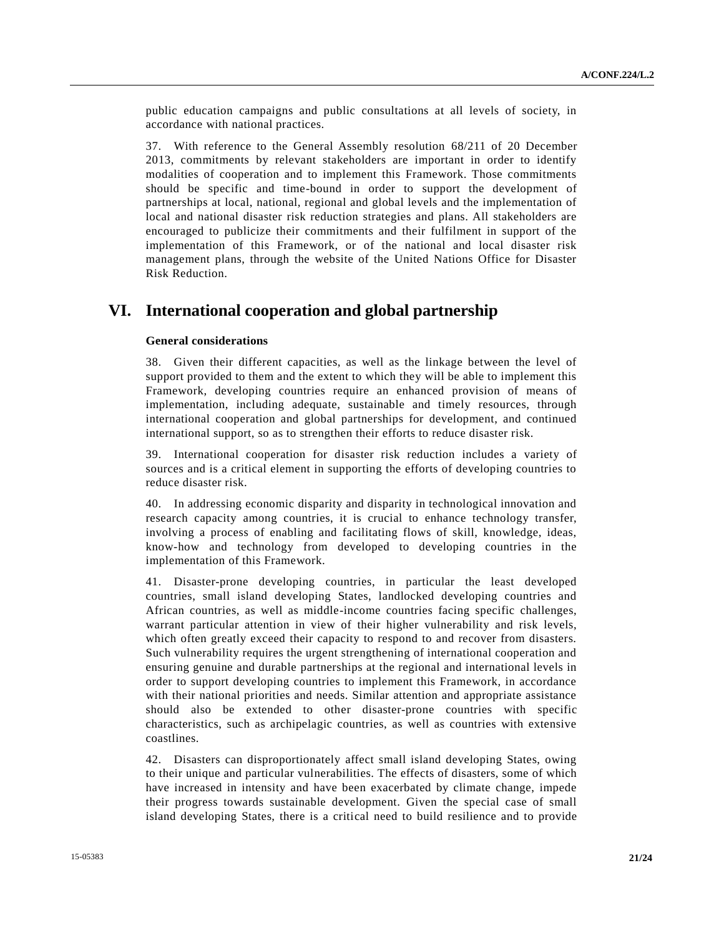public education campaigns and public consultations at all levels of society, in accordance with national practices.

37. With reference to the General Assembly resolution 68/211 of 20 December 2013, commitments by relevant stakeholders are important in order to identify modalities of cooperation and to implement this Framework. Those commitments should be specific and time-bound in order to support the development of partnerships at local, national, regional and global levels and the implementation of local and national disaster risk reduction strategies and plans. All stakeholders are encouraged to publicize their commitments and their fulfilment in support of the implementation of this Framework, or of the national and local disaster risk management plans, through the website of the United Nations Office for Disaster Risk Reduction.

# **VI. International cooperation and global partnership**

## **General considerations**

38. Given their different capacities, as well as the linkage between the level of support provided to them and the extent to which they will be able to implement this Framework, developing countries require an enhanced provision of means of implementation, including adequate, sustainable and timely resources, through international cooperation and global partnerships for development, and continued international support, so as to strengthen their efforts to reduce disaster risk.

39. International cooperation for disaster risk reduction includes a variety of sources and is a critical element in supporting the efforts of developing countries to reduce disaster risk.

40. In addressing economic disparity and disparity in technological innovation and research capacity among countries, it is crucial to enhance technology transfer, involving a process of enabling and facilitating flows of skill, knowledge, ideas, know-how and technology from developed to developing countries in the implementation of this Framework.

41. Disaster-prone developing countries, in particular the least developed countries, small island developing States, landlocked developing countries and African countries, as well as middle-income countries facing specific challenges, warrant particular attention in view of their higher vulnerability and risk levels, which often greatly exceed their capacity to respond to and recover from disasters. Such vulnerability requires the urgent strengthening of international cooperation and ensuring genuine and durable partnerships at the regional and international levels in order to support developing countries to implement this Framework, in accordance with their national priorities and needs. Similar attention and appropriate assistance should also be extended to other disaster-prone countries with specific characteristics, such as archipelagic countries, as well as countries with extensive coastlines.

42. Disasters can disproportionately affect small island developing States, owing to their unique and particular vulnerabilities. The effects of disasters, some of which have increased in intensity and have been exacerbated by climate change, impede their progress towards sustainable development. Given the special case of small island developing States, there is a critical need to build resilience and to provide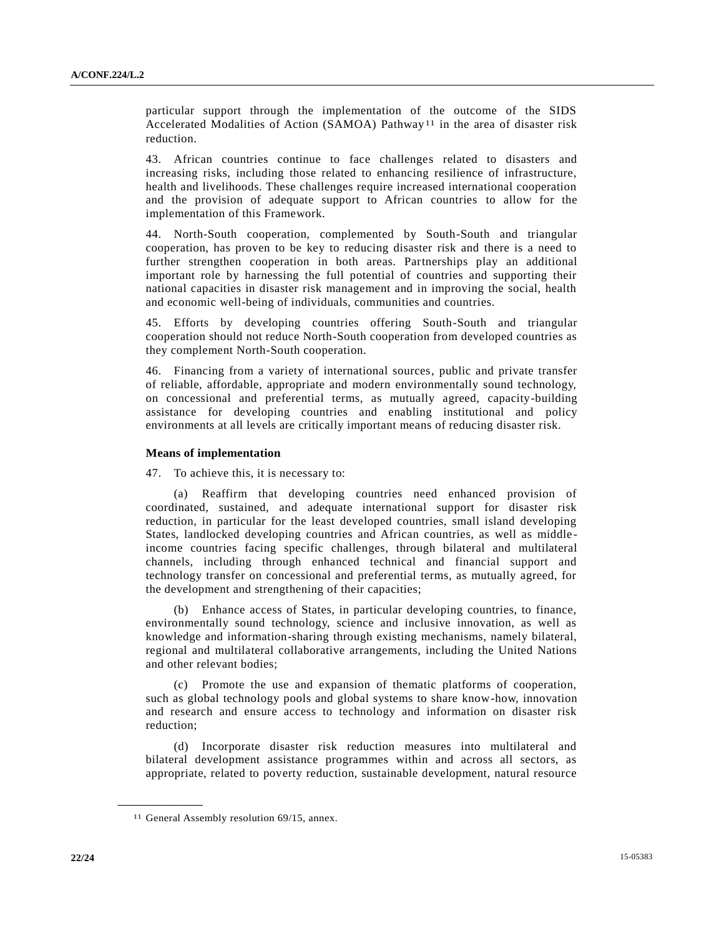particular support through the implementation of the outcome of the SIDS Accelerated Modalities of Action (SAMOA) Pathway<sup>11</sup> in the area of disaster risk reduction.

43. African countries continue to face challenges related to disasters and increasing risks, including those related to enhancing resilience of infrastructure, health and livelihoods. These challenges require increased international cooperation and the provision of adequate support to African countries to allow for the implementation of this Framework.

44. North-South cooperation, complemented by South-South and triangular cooperation, has proven to be key to reducing disaster risk and there is a need to further strengthen cooperation in both areas. Partnerships play an additional important role by harnessing the full potential of countries and supporting their national capacities in disaster risk management and in improving the social, health and economic well-being of individuals, communities and countries.

45. Efforts by developing countries offering South-South and triangular cooperation should not reduce North-South cooperation from developed countries as they complement North-South cooperation.

46. Financing from a variety of international sources, public and private transfer of reliable, affordable, appropriate and modern environmentally sound technology, on concessional and preferential terms, as mutually agreed, capacity-building assistance for developing countries and enabling institutional and policy environments at all levels are critically important means of reducing disaster risk.

### **Means of implementation**

47. To achieve this, it is necessary to:

(a) Reaffirm that developing countries need enhanced provision of coordinated, sustained, and adequate international support for disaster risk reduction, in particular for the least developed countries, small island developing States, landlocked developing countries and African countries, as well as middle income countries facing specific challenges, through bilateral and multilateral channels, including through enhanced technical and financial support and technology transfer on concessional and preferential terms, as mutually agreed, for the development and strengthening of their capacities;

(b) Enhance access of States, in particular developing countries, to finance, environmentally sound technology, science and inclusive innovation, as well as knowledge and information-sharing through existing mechanisms, namely bilateral, regional and multilateral collaborative arrangements, including the United Nations and other relevant bodies;

(c) Promote the use and expansion of thematic platforms of cooperation, such as global technology pools and global systems to share know-how, innovation and research and ensure access to technology and information on disaster risk reduction;

(d) Incorporate disaster risk reduction measures into multilateral and bilateral development assistance programmes within and across all sectors, as appropriate, related to poverty reduction, sustainable development, natural resource

<sup>&</sup>lt;sup>11</sup> General Assembly resolution 69/15, annex.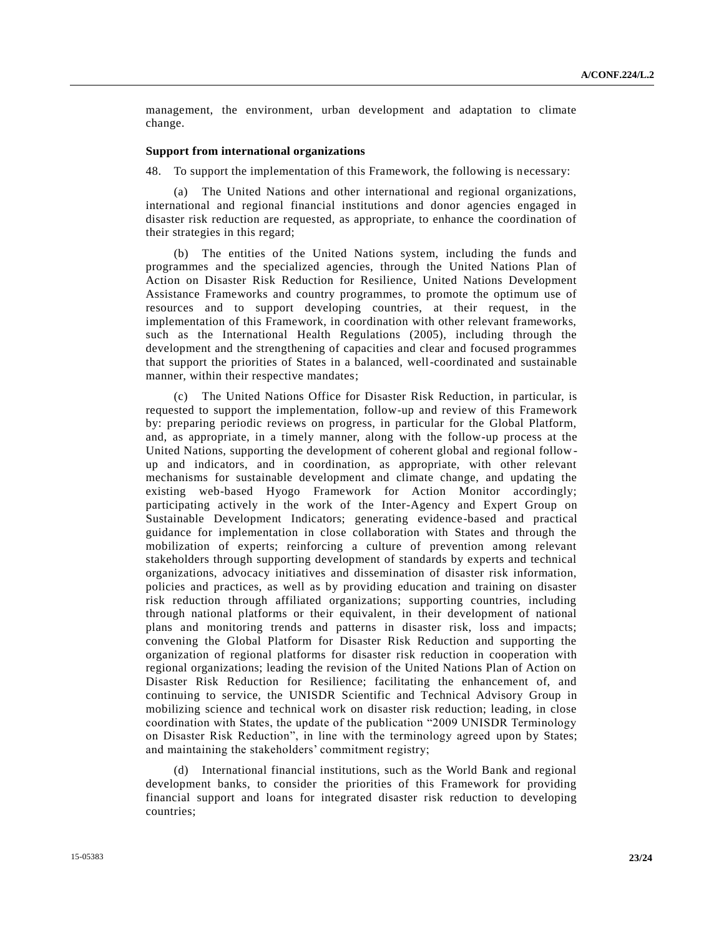management, the environment, urban development and adaptation to climate change.

### **Support from international organizations**

48. To support the implementation of this Framework, the following is necessary:

(a) The United Nations and other international and regional organizations, international and regional financial institutions and donor agencies engaged in disaster risk reduction are requested, as appropriate, to enhance the coordination of their strategies in this regard;

(b) The entities of the United Nations system, including the funds and programmes and the specialized agencies, through the United Nations Plan of Action on Disaster Risk Reduction for Resilience, United Nations Development Assistance Frameworks and country programmes, to promote the optimum use of resources and to support developing countries, at their request, in the implementation of this Framework, in coordination with other relevant frameworks, such as the International Health Regulations (2005), including through the development and the strengthening of capacities and clear and focused programmes that support the priorities of States in a balanced, well-coordinated and sustainable manner, within their respective mandates;

(c) The United Nations Office for Disaster Risk Reduction, in particular, is requested to support the implementation, follow-up and review of this Framework by: preparing periodic reviews on progress, in particular for the Global Platform, and, as appropriate, in a timely manner, along with the follow-up process at the United Nations, supporting the development of coherent global and regional followup and indicators, and in coordination, as appropriate, with other relevant mechanisms for sustainable development and climate change, and updating the existing web-based Hyogo Framework for Action Monitor accordingly; participating actively in the work of the Inter-Agency and Expert Group on Sustainable Development Indicators; generating evidence-based and practical guidance for implementation in close collaboration with States and through the mobilization of experts; reinforcing a culture of prevention among relevant stakeholders through supporting development of standards by experts and technical organizations, advocacy initiatives and dissemination of disaster risk information, policies and practices, as well as by providing education and training on disaster risk reduction through affiliated organizations; supporting countries, including through national platforms or their equivalent, in their development of national plans and monitoring trends and patterns in disaster risk, loss and impacts; convening the Global Platform for Disaster Risk Reduction and supporting the organization of regional platforms for disaster risk reduction in cooperation with regional organizations; leading the revision of the United Nations Plan of Action on Disaster Risk Reduction for Resilience; facilitating the enhancement of, and continuing to service, the UNISDR Scientific and Technical Advisory Group in mobilizing science and technical work on disaster risk reduction; leading, in close coordination with States, the update of the publication "2009 UNISDR Terminology on Disaster Risk Reduction", in line with the terminology agreed upon by States; and maintaining the stakeholders' commitment registry;

(d) International financial institutions, such as the World Bank and regional development banks, to consider the priorities of this Framework for providing financial support and loans for integrated disaster risk reduction to developing countries;